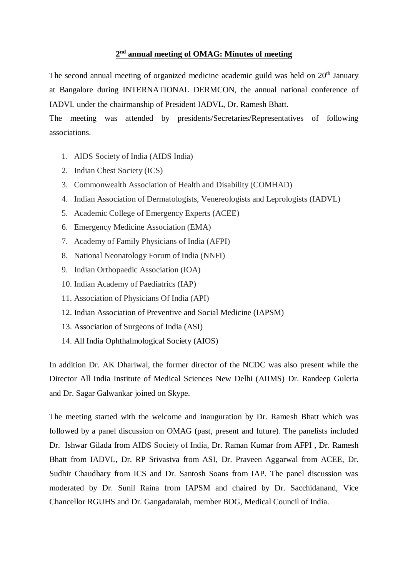## **2 nd annual meeting of OMAG: Minutes of meeting**

The second annual meeting of organized medicine academic guild was held on  $20<sup>th</sup>$  January at Bangalore during INTERNATIONAL DERMCON, the annual national conference of IADVL under the chairmanship of President IADVL, Dr. Ramesh Bhatt.

The meeting was attended by presidents/Secretaries/Representatives of following associations.

- 1. AIDS Society of India (AIDS India)
- 2. Indian Chest Society (ICS)
- 3. Commonwealth Association of Health and Disability (COMHAD)
- 4. Indian Association of Dermatologists, Venereologists and Leprologists (IADVL)
- 5. Academic College of Emergency Experts (ACEE)
- 6. Emergency Medicine Association (EMA)
- 7. Academy of Family Physicians of India (AFPI)
- 8. National Neonatology Forum of India (NNFI)
- 9. Indian Orthopaedic Association (IOA)
- 10. Indian Academy of Paediatrics (IAP)
- 11. Association of Physicians Of India (API)
- 12. Indian Association of Preventive and Social Medicine (IAPSM)
- 13. Association of Surgeons of India (ASI)
- 14. All India Ophthalmological Society (AIOS)

In addition Dr. AK Dhariwal, the former director of the NCDC was also present while the Director All India Institute of Medical Sciences New Delhi (AIIMS) Dr. Randeep Guleria and Dr. Sagar Galwankar joined on Skype.

The meeting started with the welcome and inauguration by Dr. Ramesh Bhatt which was followed by a panel discussion on OMAG (past, present and future). The panelists included Dr. Ishwar Gilada from AIDS Society of India, Dr. Raman Kumar from AFPI , Dr. Ramesh Bhatt from IADVL, Dr. RP Srivastva from ASI, Dr. Praveen Aggarwal from ACEE, Dr. Sudhir Chaudhary from ICS and Dr. Santosh Soans from IAP. The panel discussion was moderated by Dr. Sunil Raina from IAPSM and chaired by Dr. Sacchidanand, Vice Chancellor RGUHS and Dr. Gangadaraiah, member BOG, Medical Council of India.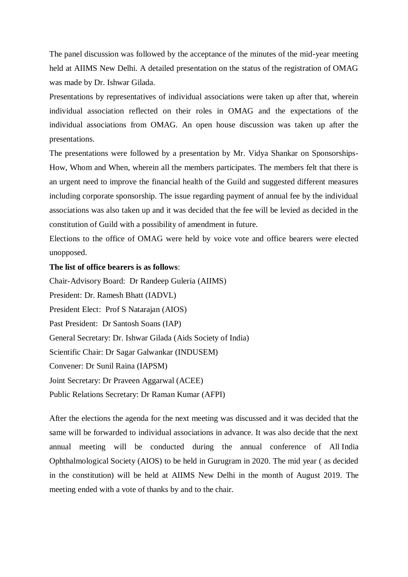The panel discussion was followed by the acceptance of the minutes of the mid-year meeting held at AIIMS New Delhi. A detailed presentation on the status of the registration of OMAG was made by Dr. Ishwar Gilada.

Presentations by representatives of individual associations were taken up after that, wherein individual association reflected on their roles in OMAG and the expectations of the individual associations from OMAG. An open house discussion was taken up after the presentations.

The presentations were followed by a presentation by Mr. Vidya Shankar on Sponsorships-How, Whom and When, wherein all the members participates. The members felt that there is an urgent need to improve the financial health of the Guild and suggested different measures including corporate sponsorship. The issue regarding payment of annual fee by the individual associations was also taken up and it was decided that the fee will be levied as decided in the constitution of Guild with a possibility of amendment in future.

Elections to the office of OMAG were held by voice vote and office bearers were elected unopposed.

## **The list of office bearers is as follows**:

Chair-Advisory Board: Dr Randeep Guleria (AIIMS) President: Dr. Ramesh Bhatt (IADVL) President Elect: Prof S Natarajan (AIOS) Past President: Dr Santosh Soans (IAP) General Secretary: Dr. Ishwar Gilada (Aids Society of India) Scientific Chair: Dr Sagar Galwankar (INDUSEM) Convener: Dr Sunil Raina (IAPSM) Joint Secretary: Dr Praveen Aggarwal (ACEE) Public Relations Secretary: Dr Raman Kumar (AFPI)

After the elections the agenda for the next meeting was discussed and it was decided that the same will be forwarded to individual associations in advance. It was also decide that the next annual meeting will be conducted during the annual conference of All India Ophthalmological Society (AIOS) to be held in Gurugram in 2020. The mid year ( as decided in the constitution) will be held at AIIMS New Delhi in the month of August 2019. The meeting ended with a vote of thanks by and to the chair.